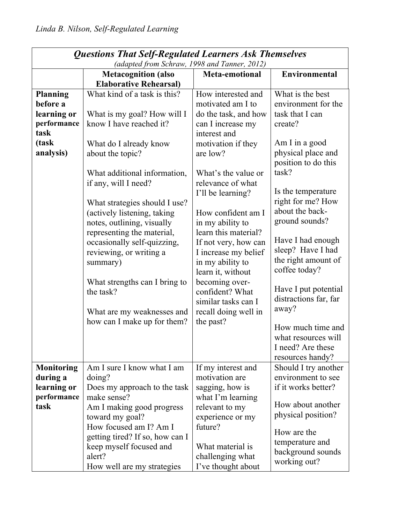| <b>Questions That Self-Regulated Learners Ask Themselves</b> |                                                               |                                     |                                          |  |
|--------------------------------------------------------------|---------------------------------------------------------------|-------------------------------------|------------------------------------------|--|
|                                                              | (adapted from Schraw, 1998 and Tanner, 2012)                  |                                     |                                          |  |
|                                                              | <b>Metacognition</b> (also                                    | <b>Meta-emotional</b>               | Environmental                            |  |
| <b>Planning</b>                                              | <b>Elaborative Rehearsal)</b><br>What kind of a task is this? | How interested and                  | What is the best                         |  |
| before a                                                     |                                                               | motivated am I to                   | environment for the                      |  |
| learning or                                                  | What is my goal? How will I                                   | do the task, and how                | task that I can                          |  |
| performance                                                  | know I have reached it?                                       | can I increase my                   | create?                                  |  |
| task                                                         |                                                               | interest and                        |                                          |  |
| (task                                                        | What do I already know                                        | motivation if they                  | Am I in a good                           |  |
| analysis)                                                    | about the topic?                                              | are low?                            | physical place and                       |  |
|                                                              |                                                               |                                     | position to do this                      |  |
|                                                              | What additional information,                                  | What's the value or                 | task?                                    |  |
|                                                              | if any, will I need?                                          | relevance of what                   |                                          |  |
|                                                              |                                                               | I'll be learning?                   | Is the temperature                       |  |
|                                                              | What strategies should I use?                                 |                                     | right for me? How                        |  |
|                                                              | (actively listening, taking                                   | How confident am I                  | about the back-                          |  |
|                                                              | notes, outlining, visually                                    | in my ability to                    | ground sounds?                           |  |
|                                                              | representing the material,                                    | learn this material?                | Have I had enough                        |  |
|                                                              | occasionally self-quizzing,                                   | If not very, how can                | sleep? Have I had                        |  |
|                                                              | reviewing, or writing a                                       | I increase my belief                | the right amount of                      |  |
|                                                              | summary)                                                      | in my ability to                    | coffee today?                            |  |
|                                                              | What strengths can I bring to                                 | learn it, without<br>becoming over- |                                          |  |
|                                                              | the task?                                                     | confident? What                     | Have I put potential                     |  |
|                                                              |                                                               | similar tasks can I                 | distractions far, far                    |  |
|                                                              | What are my weaknesses and                                    | recall doing well in                | away?                                    |  |
|                                                              | how can I make up for them?                                   | the past?                           |                                          |  |
|                                                              |                                                               |                                     | How much time and                        |  |
|                                                              |                                                               |                                     | what resources will                      |  |
|                                                              |                                                               |                                     | I need? Are these                        |  |
| <b>Monitoring</b>                                            | Am I sure I know what I am                                    | If my interest and                  | resources handy?<br>Should I try another |  |
| during a                                                     | doing?                                                        | motivation are                      | environment to see                       |  |
| learning or                                                  | Does my approach to the task                                  | sagging, how is                     | if it works better?                      |  |
| performance                                                  | make sense?                                                   | what I'm learning                   |                                          |  |
| task                                                         | Am I making good progress                                     | relevant to my                      | How about another                        |  |
|                                                              | toward my goal?                                               | experience or my                    | physical position?                       |  |
|                                                              | How focused am I? Am I                                        | future?                             |                                          |  |
|                                                              | getting tired? If so, how can I                               |                                     | How are the                              |  |
|                                                              | keep myself focused and                                       | What material is                    | temperature and                          |  |
|                                                              | alert?                                                        | challenging what                    | background sounds                        |  |
|                                                              | How well are my strategies                                    | I've thought about                  | working out?                             |  |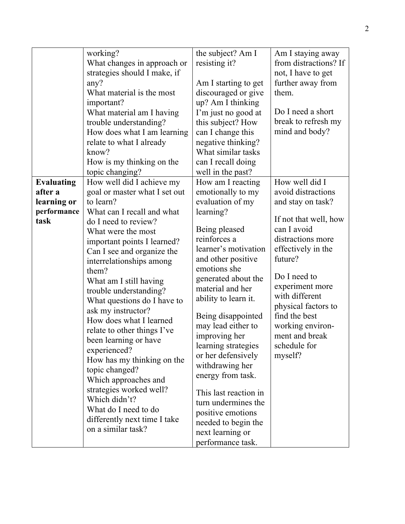|                                                                    | working?<br>What changes in approach or<br>strategies should I make, if<br>any?<br>What material is the most<br>important?<br>What material am I having<br>trouble understanding?<br>How does what I am learning<br>relate to what I already                                                                                                                                                                                                                                                                                                                                                                                                                                           | the subject? Am I<br>resisting it?<br>Am I starting to get<br>discouraged or give<br>up? Am I thinking<br>I'm just no good at<br>this subject? How<br>can I change this<br>negative thinking?                                                                                                                                                                                                                                                                                                                                                         | Am I staying away<br>from distractions? If<br>not, I have to get<br>further away from<br>them.<br>Do I need a short<br>break to refresh my<br>mind and body?                                                                                                                                                          |
|--------------------------------------------------------------------|----------------------------------------------------------------------------------------------------------------------------------------------------------------------------------------------------------------------------------------------------------------------------------------------------------------------------------------------------------------------------------------------------------------------------------------------------------------------------------------------------------------------------------------------------------------------------------------------------------------------------------------------------------------------------------------|-------------------------------------------------------------------------------------------------------------------------------------------------------------------------------------------------------------------------------------------------------------------------------------------------------------------------------------------------------------------------------------------------------------------------------------------------------------------------------------------------------------------------------------------------------|-----------------------------------------------------------------------------------------------------------------------------------------------------------------------------------------------------------------------------------------------------------------------------------------------------------------------|
|                                                                    | know?<br>How is my thinking on the                                                                                                                                                                                                                                                                                                                                                                                                                                                                                                                                                                                                                                                     | What similar tasks<br>can I recall doing                                                                                                                                                                                                                                                                                                                                                                                                                                                                                                              |                                                                                                                                                                                                                                                                                                                       |
| <b>Evaluating</b><br>after a<br>learning or<br>performance<br>task | topic changing?<br>How well did I achieve my<br>goal or master what I set out<br>to learn?<br>What can I recall and what<br>do I need to review?<br>What were the most<br>important points I learned?<br>Can I see and organize the<br>interrelationships among<br>them?<br>What am I still having<br>trouble understanding?<br>What questions do I have to<br>ask my instructor?<br>How does what I learned<br>relate to other things I've<br>been learning or have<br>experienced?<br>How has my thinking on the<br>topic changed?<br>Which approaches and<br>strategies worked well?<br>Which didn't?<br>What do I need to do<br>differently next time I take<br>on a similar task? | well in the past?<br>How am I reacting<br>emotionally to my<br>evaluation of my<br>learning?<br>Being pleased<br>reinforces a<br>learner's motivation<br>and other positive<br>emotions she<br>generated about the<br>material and her<br>ability to learn it.<br>Being disappointed<br>may lead either to<br>improving her<br>learning strategies<br>or her defensively<br>withdrawing her<br>energy from task.<br>This last reaction in<br>turn undermines the<br>positive emotions<br>needed to begin the<br>next learning or<br>performance task. | How well did I<br>avoid distractions<br>and stay on task?<br>If not that well, how<br>can I avoid<br>distractions more<br>effectively in the<br>future?<br>Do I need to<br>experiment more<br>with different<br>physical factors to<br>find the best<br>working environ-<br>ment and break<br>schedule for<br>myself? |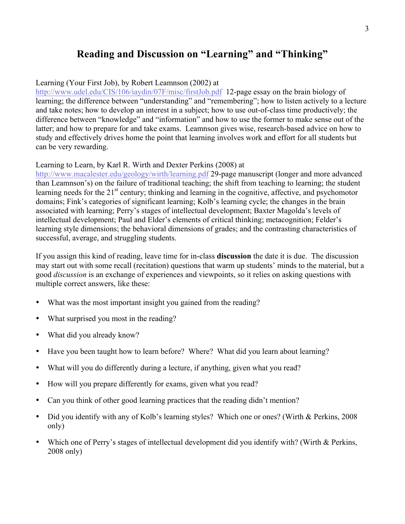# **Reading and Discussion on "Learning" and "Thinking"**

#### Learning (Your First Job), by Robert Leamnson (2002) at

<http://www.udel.edu/CIS/106/iaydin/07F/misc/firstJob.pdf>12-page essay on the brain biology of learning; the difference between "understanding" and "remembering"; how to listen actively to a lecture and take notes; how to develop an interest in a subject; how to use out-of-class time productively; the difference between "knowledge" and "information" and how to use the former to make sense out of the latter; and how to prepare for and take exams. Leamnson gives wise, research-based advice on how to study and effectively drives home the point that learning involves work and effort for all students but can be very rewarding.

#### Learning to Learn, by Karl R. Wirth and Dexter Perkins (2008) at

<http://www.macalester.edu/geology/wirth/learning.pdf> 29-page manuscript (longer and more advanced than Leamnson's) on the failure of traditional teaching; the shift from teaching to learning; the student learning needs for the  $21<sup>st</sup>$  century; thinking and learning in the cognitive, affective, and psychomotor domains; Fink's categories of significant learning; Kolb's learning cycle; the changes in the brain associated with learning; Perry's stages of intellectual development; Baxter Magolda's levels of intellectual development; Paul and Elder's elements of critical thinking; metacognition; Felder's learning style dimensions; the behavioral dimensions of grades; and the contrasting characteristics of successful, average, and struggling students.

If you assign this kind of reading, leave time for in-class **discussion** the date it is due. The discussion may start out with some recall (recitation) questions that warm up students' minds to the material, but a good *discussion* is an exchange of experiences and viewpoints, so it relies on asking questions with multiple correct answers, like these:

- What was the most important insight you gained from the reading?
- What surprised you most in the reading?
- What did you already know?
- Have you been taught how to learn before? Where? What did you learn about learning?
- What will you do differently during a lecture, if anything, given what you read?
- How will you prepare differently for exams, given what you read?
- Can you think of other good learning practices that the reading didn't mention?
- Did you identify with any of Kolb's learning styles? Which one or ones? (Wirth & Perkins, 2008) only)
- Which one of Perry's stages of intellectual development did you identify with? (Wirth & Perkins, 2008 only)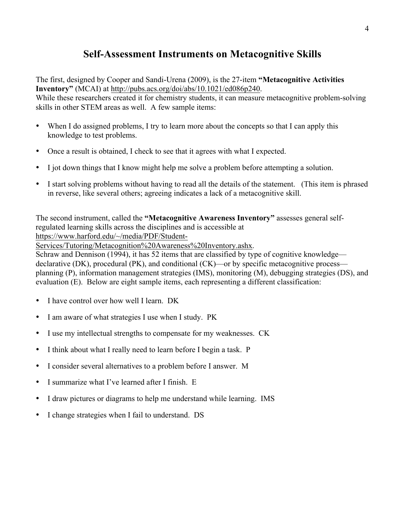# **Self-Assessment Instruments on Metacognitive Skills**

The first, designed by Cooper and Sandi-Urena (2009), is the 27-item **"Metacognitive Activities Inventory"** (MCAI) at <http://pubs.acs.org/doi/abs/10.1021/ed086p240>.

While these researchers created it for chemistry students, it can measure metacognitive problem-solving skills in other STEM areas as well. A few sample items:

- When I do assigned problems, I try to learn more about the concepts so that I can apply this knowledge to test problems.
- Once a result is obtained, I check to see that it agrees with what I expected.
- I jot down things that I know might help me solve a problem before attempting a solution.
- I start solving problems without having to read all the details of the statement. (This item is phrased in reverse, like several others; agreeing indicates a lack of a metacognitive skill.

The second instrument, called the **"Metacognitive Awareness Inventory"** assesses general selfregulated learning skills across the disciplines and is accessible at [https://www.harford.edu/~/media/PDF/Student-](https://www.harford.edu/~/media/PDF/Student-Services/Tutoring/Metacognition Awareness Inventory.ashx)

[Services/Tutoring/Metacognition%20Awareness%20Inventory.ashx.](https://www.harford.edu/~/media/PDF/Student-Services/Tutoring/Metacognition Awareness Inventory.ashx)

Schraw and Dennison (1994), it has 52 items that are classified by type of cognitive knowledge declarative (DK), procedural (PK), and conditional (CK)—or by specific metacognitive process planning (P), information management strategies (IMS), monitoring (M), debugging strategies (DS), and evaluation (E). Below are eight sample items, each representing a different classification:

- I have control over how well I learn. DK
- I am aware of what strategies I use when I study. PK
- I use my intellectual strengths to compensate for my weaknesses. CK
- I think about what I really need to learn before I begin a task. P
- I consider several alternatives to a problem before I answer. M
- I summarize what I've learned after I finish. E
- I draw pictures or diagrams to help me understand while learning. IMS
- I change strategies when I fail to understand. DS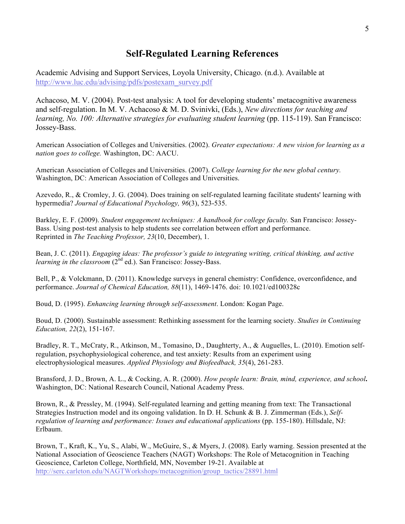### **Self-Regulated Learning References**

Academic Advising and Support Services, Loyola University, Chicago. (n.d.). Available at [http://www.luc.edu/advising/pdfs/postexam\\_survey.pdf](http://www.luc.edu/advising/pdfs/postexam_survey.pdf)

Achacoso, M. V. (2004). Post-test analysis: A tool for developing students' metacognitive awareness and self-regulation. In M. V. Achacoso & M. D. Svinivki, (Eds.), *New directions for teaching and learning, No. 100: Alternative strategies for evaluating student learning (pp. 115-119). San Francisco:* Jossey-Bass.

American Association of Colleges and Universities. (2002). *Greater expectations: A new vision for learning as a nation goes to college.* Washington, DC: AACU.

American Association of Colleges and Universities. (2007). *College learning for the new global century.*  Washington, DC: American Association of Colleges and Universities.

Azevedo, R., & Cromley, J. G. (2004). Does training on self-regulated learning facilitate students' learning with hypermedia? *Journal of Educational Psychology, 96*(3), 523-535.

Barkley, E. F. (2009). *Student engagement techniques: A handbook for college faculty.* San Francisco: Jossey-Bass. Using post-test analysis to help students see correlation between effort and performance. Reprinted in *The Teaching Professor, 23*(10, December), 1.

Bean, J. C. (2011). *Engaging ideas: The professor's guide to integrating writing, critical thinking, and active learning in the classroom*  $(2^{nd}$  ed.). San Francisco: Jossey-Bass.

Bell, P., & Volckmann, D. (2011). Knowledge surveys in general chemistry: Confidence, overconfidence, and performance. *Journal of Chemical Education, 88*(11), 1469-1476. doi: 10.1021/ed100328c

Boud, D. (1995). *Enhancing learning through self-assessment*. London: Kogan Page.

Boud, D. (2000). Sustainable assessment: Rethinking assessment for the learning society. *Studies in Continuing Education, 22*(2), 151-167.

Bradley, R. T., McCraty, R., Atkinson, M., Tomasino, D., Daughterty, A., & Auguelles, L. (2010). Emotion selfregulation, psychophysiological coherence, and test anxiety: Results from an experiment using electrophysiological measures. *Applied Physiology and Biofeedback, 35*(4), 261-283.

Bransford, J. D., Brown, A. L., & Cocking, A. R. (2000). *[How people learn: Brain, mind, experience, and school](http://serc.carleton.edu/resources/405.html)***.**  Washington, DC: National Research Council, National Academy Press.

Brown, R., & Pressley, M. (1994). Self-regulated learning and getting meaning from text: The Transactional Strategies Instruction model and its ongoing validation. In D. H. Schunk & B. J. Zimmerman (Eds.), *Selfregulation of learning and performance: Issues and educational applications (pp. 155-180). Hillsdale, NJ:* Erlbaum.

Brown, T., Kraft, K., Yu, S., Alabi, W., McGuire, S., & Myers, J. (2008). Early warning. Session presented at the National Association of Geoscience Teachers (NAGT) Workshops: The Role of Metacognition in Teaching Geoscience, Carleton College, Northfield, MN, November 19-21. Available at [http://serc.carleton.edu/NAGTWorkshops/metacognition/group\\_tactics/28891.html](http://serc.carleton.edu/NAGTWorkshops/metacognition/group_tactics/28891.html)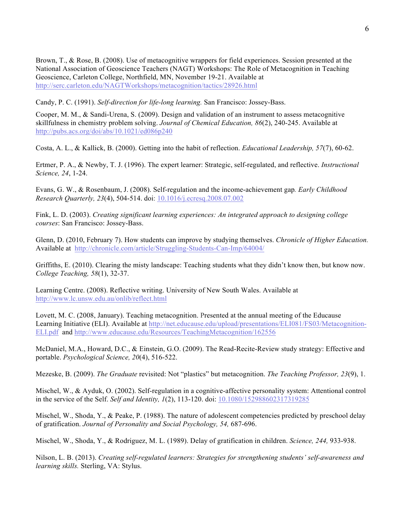Brown, T., & Rose, B. (2008). Use of metacognitive wrappers for field experiences. Session presented at the National Association of Geoscience Teachers (NAGT) Workshops: The Role of Metacognition in Teaching Geoscience, Carleton College, Northfield, MN, November 19-21. Available at <http://serc.carleton.edu/NAGTWorkshops/metacognition/tactics/28926.html>

Candy, P. C. (1991). *Self-direction for life-long learning.* San Francisco: Jossey-Bass.

Cooper, M. M., & Sandi-Urena, S. (2009). Design and validation of an instrument to assess metacognitive skillfulness in chemistry problem solving. *Journal of Chemical Education, 86*(2), 240-245. Available at <http://pubs.acs.org/doi/abs/10.1021/ed086p240>

Costa, A. L., & Kallick, B. (2000). Getting into the habit of reflection. *Educational Leadership, 57*(7), 60-62.

Ertmer, P. A., & Newby, T. J. (1996). The expert learner: Strategic, self-regulated, and reflective. *Instructional Science, 24*, 1-24.

Evans, G. W., & Rosenbaum, J. (2008). Self-regulation and the income-achievement gap*. Early [Childhood](http://www.sciencedirect.com/science/journal/08852006) Research [Quarterly](http://www.sciencedirect.com/science/journal/08852006), 23*(4), 504-514. doi: [10.1016/j.ecresq.2008.07.002](http://dx.doi.org/10.1016/j.ecresq.2008.07.002)

Fink, L. D. (2003). *Creating significant learning experiences: An integrated approach to designing college courses*: San Francisco: Jossey-Bass.

Glenn, D. (2010, February 7). How students can improve by studying themselves. *Chronicle of Higher Education.*  Available at <http://chronicle.com/article/Struggling-Students-Can-Imp/64004/>

Griffiths, E. (2010). Clearing the misty landscape: Teaching students what they didn't know then, but know now. *College Teaching, 58*(1), 32-37.

Learning Centre. (2008). Reflective writing. University of New South Wales. Available at <http://www.lc.unsw.edu.au/onlib/reflect.html>

Lovett, M. C. (2008, January). Teaching metacognition. Presented at the annual meeting of the Educause Learning Initiative (ELI). Available at [http://net.educause.edu/upload/presentations/ELI081/FS03/Metacognition-](http://serc.carleton.edu/redirect.php?r=http%3A%2F%2Fnet.educause.edu%2Fupload%2Fpresentations%2FELI081%2FFS03%2FMetacognition-ELI.pdf)[ELI.pdf](http://serc.carleton.edu/redirect.php?r=http%3A%2F%2Fnet.educause.edu%2Fupload%2Fpresentations%2FELI081%2FFS03%2FMetacognition-ELI.pdf) and <http://www.educause.edu/Resources/TeachingMetacognition/162556>

McDaniel, M.A., Howard, D.C., & Einstein, G.O. (2009). The Read-Recite-Review study strategy: Effective and portable. *Psychological Science, 20*(4), 516-522.

Mezeske, B. (2009). *The Graduate* revisited: Not "plastics" but metacognition. *The Teaching Professor, 23*(9), 1.

Mischel, W., & Ayduk, O. (2002). Self-regulation in a cognitive-affective personality system: Attentional control in the service of the Self. *Self and Identity, 1*(2), 113-120. doi: [10.1080/152988602317319285](http://dx.doi.org/10.1080/152988602317319285)

Mischel, W., Shoda, Y., & Peake, P. (1988). The nature of adolescent competencies predicted by preschool delay of gratification. *Journal of Personality and Social Psychology, 54,* 687-696.

Mischel, W., Shoda, Y., & Rodriguez, M. L. (1989). Delay of gratification in children. *Science, 244,* 933-938.

Nilson, L. B. (2013). *Creating self-regulated learners: Strategies for strengthening students' self-awareness and learning skills.* Sterling, VA: Stylus.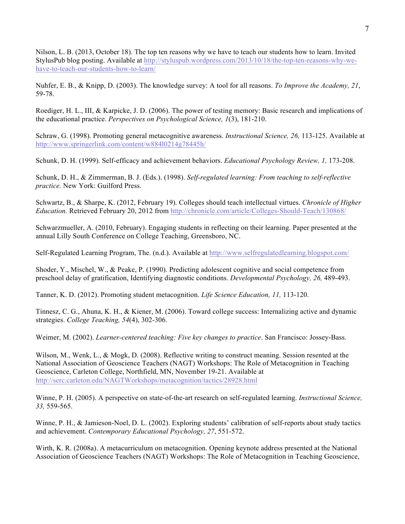Nilson, L. B. (2013, October 18). The top ten reasons why we have to teach our students how to learn. Invited StylusPub blog posting. Available at [http://styluspub.wordpress.com/2013/10/18/the-top-ten-reasons-why-we](http://styluspub.wordpress.com/2013/10/18/the-top-ten-reasons-why-we-have-to-teach-our-students-how-to-learn/)[have-to-teach-our-students-how-to-learn/](http://styluspub.wordpress.com/2013/10/18/the-top-ten-reasons-why-we-have-to-teach-our-students-how-to-learn/)

Nuhfer, E. B., & Knipp, D. (2003). The knowledge survey: A tool for all reasons. *To Improve the Academy, 21*, 59-78.

Roediger, H. L., III, & Karpicke, J. D. (2006). The power of testing memory: Basic research and implications of the educational practice. *Perspectives on Psychological Science, 1*(3), 181-210.

Schraw, G. (1998). Promoting general metacognitive awareness. *Instructional Science, 26,* 113-125. Available at <http://www.springerlink.com/content/w884l0214g78445h/>

Schunk, D. H. (1999). Self-efficacy and achievement behaviors. *Educational Psychology Review, 1,* 173-208.

Schunk, D. H., & Zimmerman, B. J. (Eds.). (1998). *Self-regulated learning: From teaching to self-reflective practice.* New York: Guilford Press.

Schwartz, B., & Sharpe, K. (2012, February 19). Colleges should teach intellectual virtues. *Chronicle of Higher Education.* Retrieved February 20, 2012 from<http://chronicle.com/article/Colleges-Should-Teach/130868/>

Schwarzmueller, A. (2010, February). Engaging students in reflecting on their learning. Paper presented at the annual Lilly South Conference on College Teaching, Greensboro, NC.

Self-Regulated Learning Program, The. (n.d.). Available at <http://www.selfregulatedlearning.blogspot.com/>

Shoder, Y., Mischel, W., & Peake, P. (1990). Predicting adolescent cognitive and social competence from preschool delay of gratification, Identifying diagnostic conditions. *Developmental Psychology, 26,* 489-493.

Tanner, K. D. (2012). Promoting student metacognition. *Life Science Education, 11,* 113-120.

Tinnesz, C. G., Ahuna, K. H., & Kiener, M. (2006). Toward college success: Internalizing active and dynamic strategies. *College Teaching, 54*(4), 302-306.

Weimer, M. (2002). *Learner-centered teaching: Five key changes to practice*. San Francisco: Jossey-Bass.

Wilson, M., Wenk, L., & Mogk, D. (2008). Reflective writing to construct meaning. Session resented at the National Association of Geoscience Teachers (NAGT) Workshops: The Role of Metacognition in Teaching Geoscience, Carleton College, Northfield, MN, November 19-21. Available at <http://serc.carleton.edu/NAGTWorkshops/metacognition/tactics/28928.html>

Winne, P. H. (2005). A perspective on state-of-the-art research on self-regulated learning. *Instructional Science, 33,* 559-565.

Winne, P. H., & Jamieson-Noel, D. L. (2002). Exploring students' calibration of self-reports about study tactics and achievement. *Contemporary Educational Psychology, 27*, 551-572.

Wirth, K. R. (2008a). A metacurriculum on metacognition. Opening keynote address presented at the National Association of Geoscience Teachers (NAGT) Workshops: The Role of Metacognition in Teaching Geoscience,